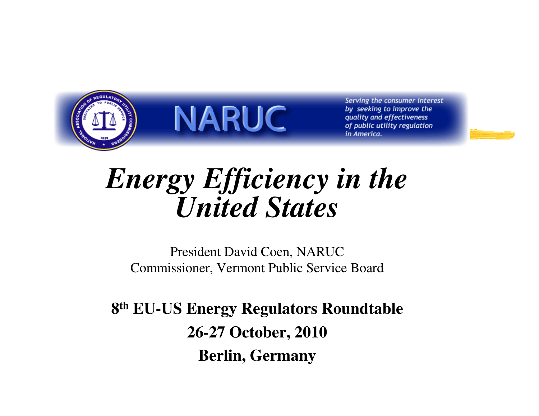

Serving the consumer interest by seeking to improve the quality and effectiveness of public utility regulation in America.

#### *Energy Efficiency in the United States*

President David Coen, NARUCCommissioner, Vermont Public Service Board

**8th EU-US Energy Regulators Roundtable26-27 October, 2010Berlin, Germany**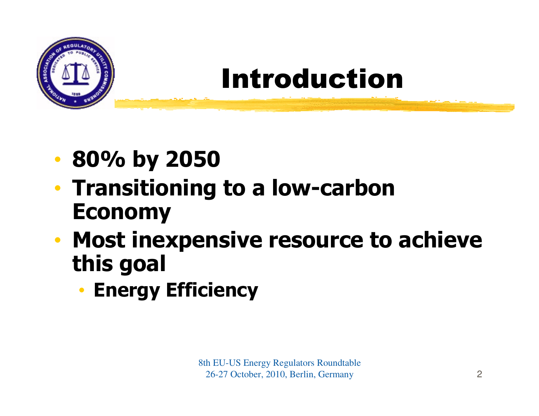

### Introduction

- $\bullet$ 80% by 2050
- Trancitionin • Transitioning to a low-carbon Economy
- • Most inexpensive resource to achieve this goal
	- •• Energy Efficiency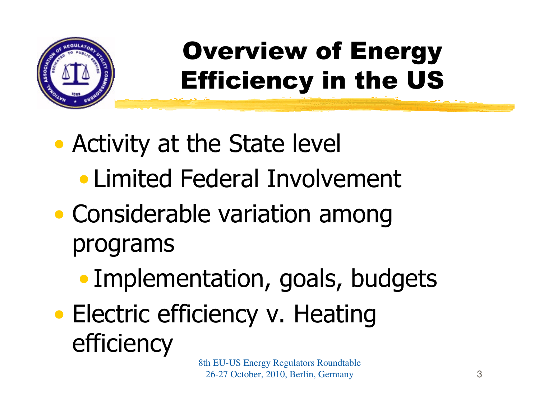

## Overview of Energy Efficiency in the US

- $\bullet$  Activity at the State level
	- $\bullet$ Limited Federal Involvement
- $\bullet$  Considerable variation among programs
	- $\bullet$ Implementation, goals, budgets
- $\bullet$ • Electric efficiency v. Heating efficiency

8th EU-US Energy Regulators Roundtable 26-27 October, 2010, Berlin, Germany $\mathbf{y}$  3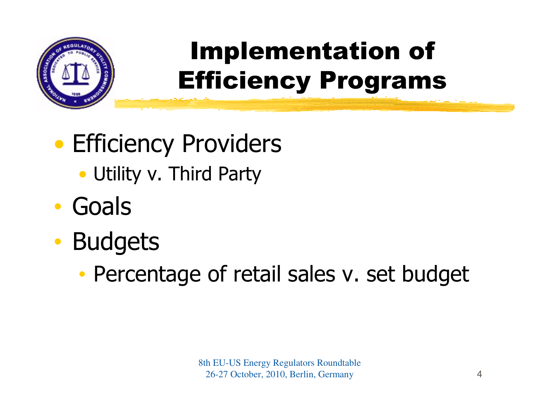

## Implementation of Efficiency Programs

#### $\bullet$ **• Efficiency Providers**

- Utility v. Third Party
- $\bullet$ **Goals**
- $\bullet$  Budgets
	- •Percentage of retail sales v. set budget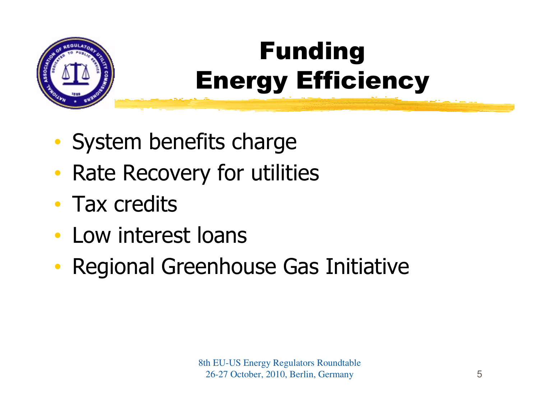

# FundingEnergy Efficiency

- •System benefits charge
- $\bullet$ • Rate Recovery for utilities
- •• Tax credits
- •Low interest loans
- $\bullet$ Regional Greenhouse Gas Initiative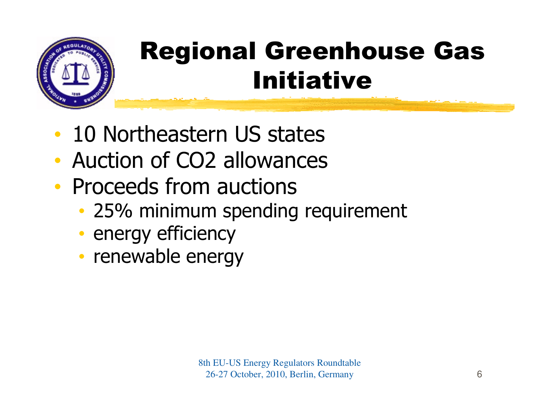

### Regional Greenhouse Gas Initiative

- $\bullet$ 10 Northeastern US states
- •Auction of CO2 allowances
- •• Proceeds from auctions
	- $\bullet$  25% minimum snendin 25% minimum spending requirement
	- •• energy efficiency
	- renewahle enerr • renewable energy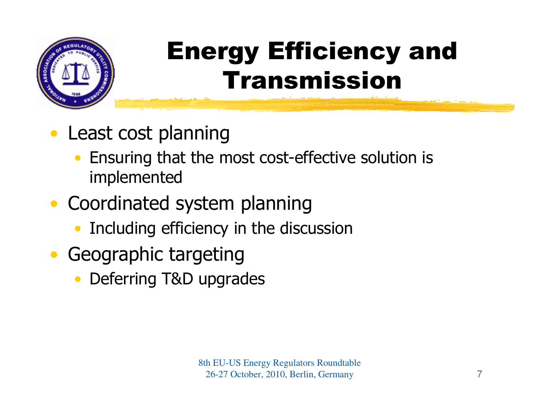

#### Energy Efficiency and Transmission

- $\bullet$  Least cost planning
	- Ensuring that the most cost-effective solution is •implemented
- Coordinated system planning
	- Including efficiency in the discussion •
- Geographic targeting
	- Deferring T&D upgrades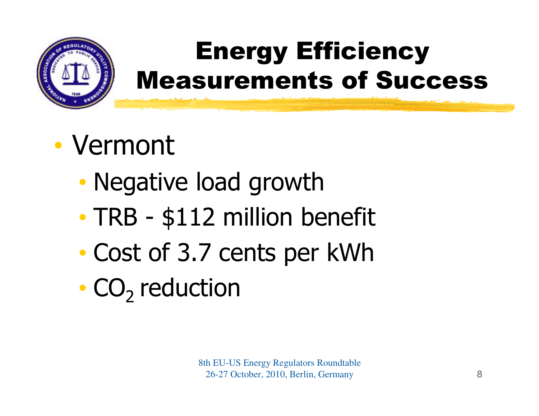

#### Energy EfficiencyMeasurements of Success

#### $\bullet$ Vermont

- •Negative load growth
- $\bullet$ • TRB - \$112 million benefit<br>Coet of 2.7 september kWb
- •Cost of 3.7 cents per kWh
- • $\cdot$  CO<sub>2</sub> reduction